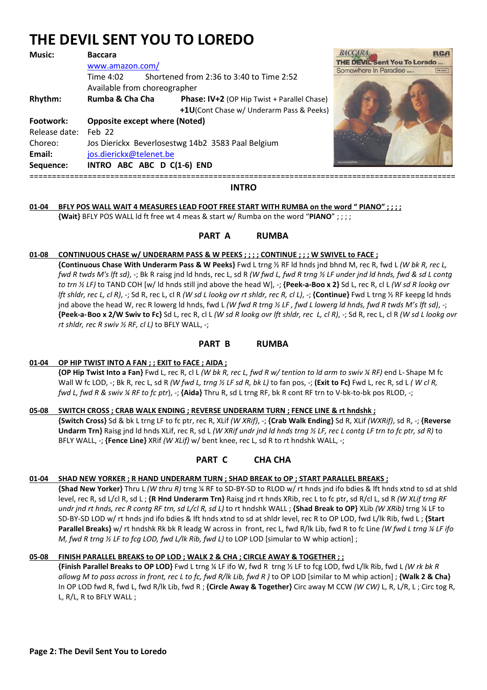# **THE DEVIL SENT YOU TO LOREDO**

| <b>Music:</b> | <b>Baccara</b>                                    |                                             | BAC        |
|---------------|---------------------------------------------------|---------------------------------------------|------------|
|               | www.amazon.com/                                   |                                             | <b>THE</b> |
|               | Time 4:02                                         | Shortened from 2:36 to 3:40 to Time 2:52    | Some       |
|               | Available from choreographer                      |                                             |            |
| Rhythm:       | Rumba & Cha Cha                                   | Phase: IV+2 (OP Hip Twist + Parallel Chase) |            |
|               |                                                   | +1U(Cont Chase w/ Underarm Pass & Peeks)    |            |
| Footwork:     | <b>Opposite except where (Noted)</b>              |                                             |            |
| Release date: | $Feh$ 22                                          |                                             |            |
| Choreo:       | Jos Dierickx Beverlosestwg 14b2 3583 Paal Belgium |                                             |            |
| Email:        | jos.dierickx@telenet.be                           |                                             |            |
| Sequence:     |                                                   | INTRO ABC ABC D C(1-6) END                  |            |
|               |                                                   |                                             |            |



===============================================================================================

## **INTRO**

# **01-04 BFLY POS WALL WAIT 4 MEASURES LEAD FOOT FREE START WITH RUMBA on the word " PIANO" ; ; ; ;**

 **{Wait}** BFLY POS WALL ld ft free wt 4 meas & start w/ Rumba on the word "**PIANO**" ; ; ; ;

# **PART A RUMBA**

## **01-08 CONTINUOUS CHASE w/ UNDERARM PASS & W PEEKS ; ; ; ; CONTINUE ; ; ; W SWIVEL to FACE ;**

 **{Continuous Chase With Underarm Pass & W Peeks}** Fwd L trng ½ RF ld hnds jnd bhnd M, rec R, fwd L *(W bk R, rec L, fwd R twds M's lft sd)*, -; Bk R raisg jnd ld hnds, rec L, sd R *(W fwd L, fwd R trng ½ LF under jnd ld hnds, fwd & sd L contg to trn ½ LF)* to TAND COH [w/ ld hnds still jnd above the head W], -; **{Peek-a-Boo x 2}** Sd L, rec R, cl L *(W sd R lookg ovr lft shldr, rec L, cl R)*, -; Sd R, rec L, cl R *(W sd L lookg ovr rt shldr, rec R, cl L)*, -; **{Continue}** Fwd L trng ½ RF keepg ld hnds jnd above the head W, rec R lowerg ld hnds, fwd L *(W fwd R trng ½ LF , fwd L lowerg ld hnds, fwd R twds M's lft sd)*, -; **{Peek-a- Boo x 2/W Swiv to Fc}** Sd L, rec R, cl L *(W sd R lookg ovr lft shldr, rec L, cl R)*, -; Sd R, rec L, cl R *(W sd L lookg ovr rt shldr, rec R swiv ½ RF, cl L)* to BFLY WALL, -;

## **PART B RUMBA**

## **01-04 OP HIP TWIST INTO A FAN ; ; EXIT to FACE ; AIDA ;**

 **{OP Hip Twist Into a Fan}** Fwd L, rec R, cl L *(W bk R, rec L, fwd R w/ tention to ld arm to swiv ¼ RF)* end L- Shape M fc Wall W fc LOD, -; Bk R, rec L, sd R *(W fwd L, trng ½ LF sd R, bk L)* to fan pos, -; **(Exit to Fc)** Fwd L, rec R, sd L *( W cl R, fwd L, fwd R & swiv ¼ RF to fc ptr*), -; **{Aida}** Thru R, sd L trng RF, bk R cont RF trn to V-bk-to-bk pos RLOD, -;

## **05-08 SWITCH CROSS ; CRAB WALK ENDING ; REVERSE UNDERARM TURN ; FENCE LINE & rt hndshk ;**

 **{Switch Cross}** Sd & bk L trng LF to fc ptr, rec R, XLif *(W XRif)*, -; **{Crab Walk Ending}** Sd R, XLif *(WXRif)*, sd R, -; **{Reverse Undarm Trn}** Raisg jnd ld hnds XLif, rec R, sd L *(W XRif undr jnd ld hnds trng ½ LF, rec L contg LF trn to fc ptr, sd R)* to BFLY WALL, -; **{Fence Line}** XRif *(W XLif)* w/ bent knee, rec L, sd R to rt hndshk WALL, -;

# **PART C CHA CHA**

## **01-04 SHAD NEW YORKER ; R HAND UNDERARM TURN ; SHAD BREAK to OP ; START PARALLEL BREAKS ;**

 **{Shad New Yorker}** Thru L *(W thru R)* trng ¼ RF to SD-BY-SD to RLOD w/ rt hnds jnd ifo bdies & lft hnds xtnd to sd at shld level, rec R, sd L/cl R, sd L ; **{R Hnd Underarm Trn}** Raisg jnd rt hnds XRib, rec L to fc ptr, sd R/cl L, sd R *(W XLif trng RF undr jnd rt hnds, rec R contg RF trn, sd L/cl R, sd L)* to rt hndshk WALL ; **{Shad Break to OP}** XLib *(W XRib)* trng ¼ LF to SD-BY-SD LOD w/ rt hnds jnd ifo bdies & lft hnds xtnd to sd at shldr level, rec R to OP LOD, fwd L/lk Rib, fwd L ; **{Start Parallel Breaks}** w/ rt hndshk Rk bk R leadg W across in front, rec L, fwd R/lk Lib, fwd R to fc Line *(W fwd L trng ¼ LF ifo M, fwd R trng ½ LF to fcg LOD, fwd L/lk Rib, fwd L)* to LOP LOD [simular to W whip action];

## **05-08 FINISH PARALLEL BREAKS to OP LOD ; WALK 2 & CHA ; CIRCLE AWAY & TOGETHER ; ;**

 **{Finish Parallel Breaks to OP LOD}** Fwd L trng ¼ LF ifo W, fwd R trng ½ LF to fcg LOD, fwd L/lk Rib, fwd L *(W rk bk R allowg M to pass across in front, rec L to fc, fwd R/lk Lib, fwd R )* to OP LOD [similar to M whip action] ; **{Walk 2 & Cha}** In OP LOD fwd R, fwd L, fwd R/lk Lib, fwd R ; **{Circle Away & Together}** Circ away M CCW *(W CW)* L, R, L/R, L ; Circ tog R, L, R/L, R to BFLY WALL ;